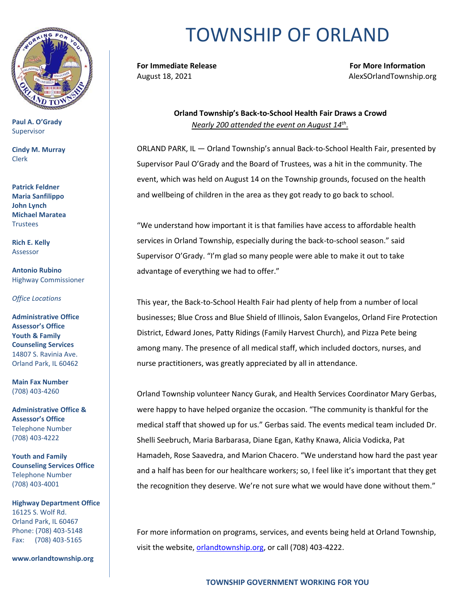

**Paul A. O'Grady** Supervisor

**Cindy M. Murray** Clerk

**Patrick Feldner Maria Sanfilippo John Lynch Michael Maratea Trustees** 

**Rich E. Kelly** Assessor

**Antonio Rubino** Highway Commissioner

*Office Locations*

**Administrative Office Assessor's Office Youth & Family Counseling Services** 14807 S. Ravinia Ave. Orland Park, IL 60462

**Main Fax Number**  (708) 403-4260

**Administrative Office & Assessor's Office**  Telephone Number (708) 403-4222

**Youth and Family Counseling Services Office**  Telephone Number (708) 403-4001

**Highway Department Office** 16125 S. Wolf Rd. Orland Park, IL 60467 Phone: (708) 403-5148 Fax: (708) 403-5165

**www.orlandtownship.org**

## TOWNSHIP OF ORLAND

**For Immediate Release For More Information** August 18, 2021 **August 18, 2021 AlexSOrlandTownship.org** 

> **Orland Township's Back-to-School Health Fair Draws a Crowd** *Nearly 200 attended the event on August 14th .*

ORLAND PARK, IL — Orland Township's annual Back-to-School Health Fair, presented by Supervisor Paul O'Grady and the Board of Trustees, was a hit in the community. The event, which was held on August 14 on the Township grounds, focused on the health and wellbeing of children in the area as they got ready to go back to school.

"We understand how important it is that families have access to affordable health services in Orland Township, especially during the back-to-school season." said Supervisor O'Grady. "I'm glad so many people were able to make it out to take advantage of everything we had to offer."

This year, the Back-to-School Health Fair had plenty of help from a number of local businesses; Blue Cross and Blue Shield of Illinois, Salon Evangelos, Orland Fire Protection District, Edward Jones, Patty Ridings (Family Harvest Church), and Pizza Pete being among many. The presence of all medical staff, which included doctors, nurses, and nurse practitioners, was greatly appreciated by all in attendance.

Orland Township volunteer Nancy Gurak, and Health Services Coordinator Mary Gerbas, were happy to have helped organize the occasion. "The community is thankful for the medical staff that showed up for us." Gerbas said. The events medical team included Dr. Shelli Seebruch, Maria Barbarasa, Diane Egan, Kathy Knawa, Alicia Vodicka, Pat Hamadeh, Rose Saavedra, and Marion Chacero. "We understand how hard the past year and a half has been for our healthcare workers; so, I feel like it's important that they get the recognition they deserve. We're not sure what we would have done without them."

For more information on programs, services, and events being held at Orland Township, visit the website, [orlandtownship.org,](file:///C:/Users/AlexS/Desktop/orlandtownship.org) or call (708) 403-4222.